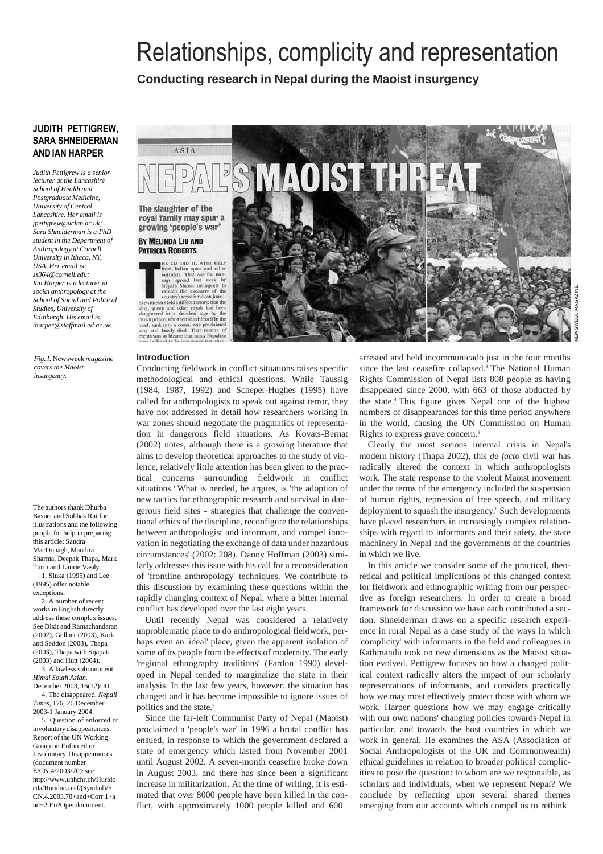# Relationships, complicity and representation

**Conducting research in Nepal during the Maoist insurgency**

## **JUDITH PETTIGREW, SARA SHNEIDERMAN AND IAN HARPER**

*Judith Pettigrew is a senior lecturer at the Lancashire School of Health and Postgraduate Medicine, University of Central Lancashire. Her email is jpettigrew@uclan.ac.uk; Sara Shneiderman is a PhD student in the Department of Anthropology at Cornell University in Ithaca, NY, USA. Her email is: ss364@cornell.edu; Ian Harper is a lecturer in social anthropology at the School of Social and Political Studies, University of Edinburgh. His email is: [iharper@staffmail.ed.ac.uk.](mailto:iharper@staffmail.ed.ac.uk)*

*Fig. l.* Newsweek *magazine covers the Maoist insurgency.*

**Introduction**

Conducting fieldwork in conflict situations raises specific methodological and ethical questions. While Taussig (1984, 1987, 1992) and Scheper-Hughes (1995) have called for anthropologists to speak out against terror, they have not addressed in detail how researchers working in war zones should negotiate the pragmatics of representation in dangerous field situations. As Kovats-Bernat (2002) notes, although there is a growing literature that aims to develop theoretical approaches to the study of violence, relatively little attention has been given to the practical concerns surrounding fieldwork in conflict situations.<sup>1</sup> What is needed, he argues, is 'the adoption of new tactics for ethnographic research and survival in dangerous field sites - strategies that challenge the conventional ethics of the discipline, reconfigure the relationships between anthropologist and informant, and compel innovation in negotiating the exchange of data under hazardous circumstances' (2002: 208). Danny Hoffman (2003) similarly addresses this issue with his call for a reconsideration of 'frontline anthropology' techniques. We contribute to this discussion by examining these questions within the rapidly changing context of Nepal, where a bitter internal

conflict has developed over the last eight years.

politics and the state.<sup>2</sup>

Until recently Nepal was considered a relatively unproblematic place to do anthropological fieldwork, perhaps even an 'ideal' place, given the apparent isolation of some of its people from the effects of modernity. The early 'regional ethnography traditions' (Fardon 1990) developed in Nepal tended to marginalize the state in their analysis. In the last few years, however, the situation has changed and it has become impossible to ignore issues of

Since the far-left Communist Party of Nepal (Maoist) proclaimed a 'people's war' in 1996 a brutal conflict has ensued, in response to which the government declared a state of emergency which lasted from November 2001 until August 2002. A seven-month ceasefire broke down in August 2003, and there has since been a significant increase in militarization. At the time of writing, it is estimated that over 8000 people have been killed in the conflict, with approximately 1000 people killed and 600

The authors thank Dhurba Basnet and Subhas Rai for illustrations and the following people for help in preparing this article: Sandra MacDonagh, Mandira Sharma, Deepak Thapa, Mark Turin and Laurie Vasily. 1. Sluka (1995) and Lee

(1995) offer notable exceptions.

2. A number of recent works in English directly address these complex issues. See Dixit and Ramachandaran (2002), Gellner (2003), Karki and Seddon (2003), Thapa (2003), Thapa with Sijapati (2003) and Hutt (2004).

3. A lawless subcontinent. *Himal South Asian*, December 2003, 16(12): 41.

4. The disappeared. *Nepali Times*, 176, 26 December 2003-1 January 2004.

5. 'Question of enforced or involuntary disappearances. Report of the UN Working Group on Enforced or Involuntary Disappearances' (document number E/CN.4/2003/70): see <http://www.unhchr.ch/Hurido> cda/Huridoca.nsf/(Symbol)/E. CN.4.2003.70+and+Corr.1+a nd+2.En?Opendocument.



arrested and held incommunicado just in the four months since the last ceasefire collapsed.<sup>3</sup> The National Human Rights Commission of Nepal lists 808 people as having disappeared since 2000, with 663 of those abducted by the state.<sup>4</sup> This figure gives Nepal one of the highest numbers of disappearances for this time period anywhere in the world, causing the UN Commission on Human Rights to express grave concern.<sup>5</sup>

Clearly the most serious internal crisis in Nepal's modern history (Thapa 2002), this *de facto* civil war has radically altered the context in which anthropologists work. The state response to the violent Maoist movement under the terms of the emergency included the suspension of human rights, repression of free speech, and military deployment to squash the insurgency.<sup>6</sup> Such developments have placed researchers in increasingly complex relationships with regard to informants and their safety, the state machinery in Nepal and the governments of the countries in which we live.

In this article we consider some of the practical, theoretical and political implications of this changed context for fieldwork and ethnographic writing from our perspective as foreign researchers. In order to create a broad framework for discussion we have each contributed a section. Shneiderman draws on a specific research experience in rural Nepal as a case study of the ways in which 'complicity' with informants in the field and colleagues in Kathmandu took on new dimensions as the Maoist situation evolved. Pettigrew focuses on how a changed political context radically alters the impact of our scholarly representations of informants, and considers practically how we may most effectively protect those with whom we work. Harper questions how we may engage critically with our own nations' changing policies towards Nepal in particular, and towards the host countries in which we work in general. He examines the ASA (Association of Social Anthropologists of the UK and Commonwealth) ethical guidelines in relation to broader political complicities to pose the question: to whom are we responsible, as scholars and individuals, when we represent Nepal? We conclude by reflecting upon several shared themes emerging from our accounts which compel us to rethink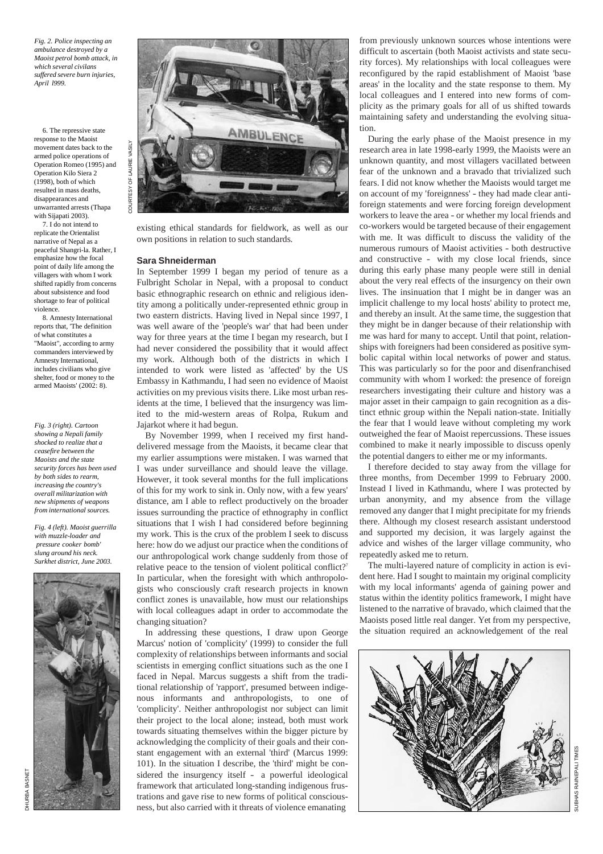*Fig. 2. Police inspecting an ambulance destroyed by a Maoist petrol bomb attack, in which several civilans suffered severe burn injuries, April l999.*

6. The repressive state response to the Maoist movement dates back to the armed police operations of Operation Romeo (1995) and Operation Kilo Siera 2 (1998), both of which resulted in mass deaths, disappearances and unwarranted arrests (Thapa with Sijapati 2003).

7. I do not intend to replicate the Orientalist narrative of Nepal as a peaceful Shangri-la. Rather, I emphasize how the focal point of daily life among the villagers with whom I work shifted rapidly from concerns about subsistence and food shortage to fear of political violence.

8. Amnesty International reports that, 'The definition of what constitutes a "Maoist", according to army commanders interviewed by Amnesty International, includes civilians who give shelter, food or money to the armed Maoists' (2002: 8).

*Fig. 3 (right). Cartoon showing a Nepali family shocked to realize that a ceasefire between the Maoists and the state security forces has been used by both sides to rearm, increasing the country's overall militarization with new shipments of weapons from international sources.*

*Fig. 4 (left). Maoist guerrilla with muzzle-loader and pressure cooker bomb' slung around his neck. Surkhet district, June 2003.*





existing ethical standards for fieldwork, as well as our own positions in relation to such standards.

#### **Sara Shneiderman**

In September 1999 I began my period of tenure as a Fulbright Scholar in Nepal, with a proposal to conduct basic ethnographic research on ethnic and religious identity among a politically under-represented ethnic group in two eastern districts. Having lived in Nepal since 1997, I was well aware of the 'people's war' that had been under way for three years at the time I began my research, but I had never considered the possibility that it would affect my work. Although both of the districts in which I intended to work were listed as 'affected' by the US Embassy in Kathmandu, I had seen no evidence of Maoist activities on my previous visits there. Like most urban residents at the time, I believed that the insurgency was limited to the mid-western areas of Rolpa, Rukum and Jajarkot where it had begun.

By November 1999, when I received my first handdelivered message from the Maoists, it became clear that my earlier assumptions were mistaken. I was warned that I was under surveillance and should leave the village. However, it took several months for the full implications of this for my work to sink in. Only now, with a few years' distance, am I able to reflect productively on the broader issues surrounding the practice of ethnography in conflict situations that I wish I had considered before beginning my work. This is the crux of the problem I seek to discuss here: how do we adjust our practice when the conditions of our anthropological work change suddenly from those of relative peace to the tension of violent political conflict?<sup>7</sup> In particular, when the foresight with which anthropologists who consciously craft research projects in known conflict zones is unavailable, how must our relationships with local colleagues adapt in order to accommodate the changing situation?

In addressing these questions, I draw upon George Marcus' notion of 'complicity' (1999) to consider the full complexity of relationships between informants and social scientists in emerging conflict situations such as the one I faced in Nepal. Marcus suggests a shift from the traditional relationship of 'rapport', presumed between indigenous informants and anthropologists, to one of 'complicity'. Neither anthropologist nor subject can limit their project to the local alone; instead, both must work towards situating themselves within the bigger picture by acknowledging the complicity of their goals and their constant engagement with an external 'third' (Marcus 1999: 101). In the situation I describe, the 'third' might be considered the insurgency itself - a powerful ideological framework that articulated long-standing indigenous frustrations and gave rise to new forms of political consciousness, but also carried with it threats of violence emanating

from previously unknown sources whose intentions were difficult to ascertain (both Maoist activists and state security forces). My relationships with local colleagues were reconfigured by the rapid establishment of Maoist 'base areas' in the locality and the state response to them. My local colleagues and I entered into new forms of complicity as the primary goals for all of us shifted towards maintaining safety and understanding the evolving situation.

During the early phase of the Maoist presence in my research area in late 1998-early 1999, the Maoists were an unknown quantity, and most villagers vacillated between fear of the unknown and a bravado that trivialized such fears. I did not know whether the Maoists would target me on account of my 'foreignness' - they had made clear antiforeign statements and were forcing foreign development workers to leave the area - or whether my local friends and co-workers would be targeted because of their engagement with me. It was difficult to discuss the validity of the numerous rumours of Maoist activities - both destructive and constructive - with my close local friends, since during this early phase many people were still in denial about the very real effects of the insurgency on their own lives. The insinuation that I might be in danger was an implicit challenge to my local hosts' ability to protect me, and thereby an insult. At the same time, the suggestion that they might be in danger because of their relationship with me was hard for many to accept. Until that point, relationships with foreigners had been considered as positive symbolic capital within local networks of power and status. This was particularly so for the poor and disenfranchised community with whom I worked: the presence of foreign researchers investigating their culture and history was a major asset in their campaign to gain recognition as a distinct ethnic group within the Nepali nation-state. Initially the fear that I would leave without completing my work outweighed the fear of Maoist repercussions. These issues combined to make it nearly impossible to discuss openly the potential dangers to either me or my informants.

I therefore decided to stay away from the village for three months, from December 1999 to February 2000. Instead I lived in Kathmandu, where I was protected by urban anonymity, and my absence from the village removed any danger that I might precipitate for my friends there. Although my closest research assistant understood and supported my decision, it was largely against the advice and wishes of the larger village community, who repeatedly asked me to return.

The multi-layered nature of complicity in action is evident here. Had I sought to maintain my original complicity with my local informants' agenda of gaining power and status within the identity politics framework, I might have listened to the narrative of bravado, which claimed that the Maoists posed little real danger. Yet from my perspective, the situation required an acknowledgement of the real

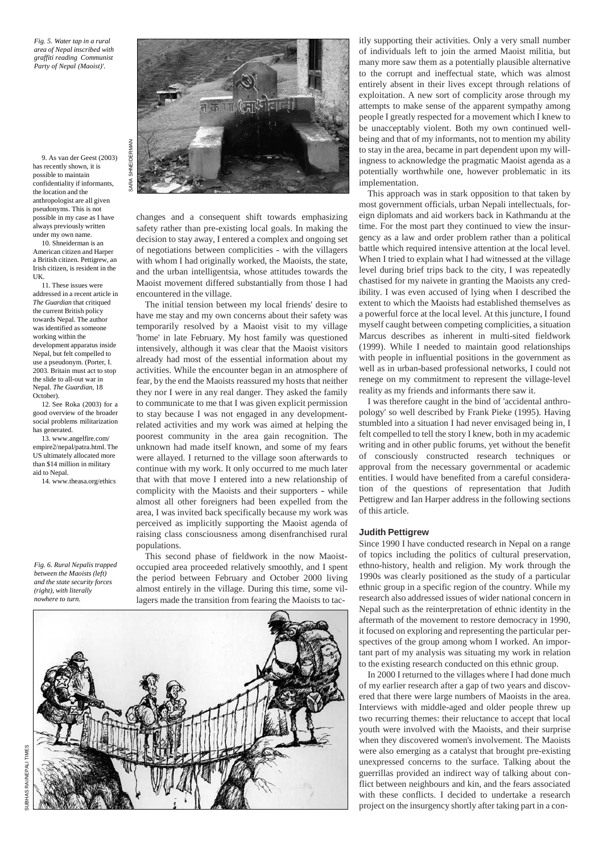*Fig. 5. Water tap in a rural area of Nepal inscribed with graffiti reading Communist Party of Nepal (Maoist)'.*

9. As van der Geest (2003) has recently shown, it is possible to maintain confidentiality if informants, the location and the anthropologist are all given pseudonyms. This is not possible in my case as I have always previously written under my own name.

10. Shneiderman is an American citizen and Harper a British citizen. Pettigrew, an Irish citizen, is resident in the UK.

11. These issues were addressed in a recent article in *The Guardian* that critiqued the current British policy towards Nepal. The author was identified as someone working within the development apparatus inside Nepal, but felt compelled to use a pseudonym. (Porter, I. 2003. Britain must act to stop the slide to all-out war in Nepal. *The Guardian*, 18 October).

12. See Roka (2003) for a good overview of the broader social problems militarization has generated.

13. [www.angelfire.com/](http://www.angelfire.com/) empire2/nepal/patra.html.The US ultimately allocated more than \$14 million in military aid to Nepal.

14. [www.theasa.org/ethics](http://www.theasa.org/ethics)

*Fig. 6. Rural Nepalis trapped between the Maoists (left) and the state security forces (right), with literally nowhere to turn.*



changes and a consequent shift towards emphasizing safety rather than pre-existing local goals. In making the decision to stay away, I entered a complex and ongoing set of negotiations between complicities - with the villagers with whom I had originally worked, the Maoists, the state, and the urban intelligentsia, whose attitudes towards the Maoist movement differed substantially from those I had encountered in the village.

The initial tension between my local friends' desire to have me stay and my own concerns about their safety was temporarily resolved by a Maoist visit to my village 'home' in late February. My host family was questioned intensively, although it was clear that the Maoist visitors already had most of the essential information about my activities. While the encounter began in an atmosphere of fear, by the end the Maoists reassured my hosts that neither they nor I were in any real danger. They asked the family to communicate to me that I was given explicit permission to stay because I was not engaged in any developmentrelated activities and my work was aimed at helping the poorest community in the area gain recognition. The unknown had made itself known, and some of my fears were allayed. I returned to the village soon afterwards to continue with my work. It only occurred to me much later that with that move I entered into a new relationship of complicity with the Maoists and their supporters - while almost all other foreigners had been expelled from the area, I was invited back specifically because my work was perceived as implicitly supporting the Maoist agenda of raising class consciousness among disenfranchised rural populations.

This second phase of fieldwork in the now Maoistoccupied area proceeded relatively smoothly, and I spent the period between February and October 2000 living almost entirely in the village. During this time, some villagers made the transition from fearing the Maoists to tac-



itly supporting their activities. Only a very small number of individuals left to join the armed Maoist militia, but many more saw them as a potentially plausible alternative to the corrupt and ineffectual state, which was almost entirely absent in their lives except through relations of exploitation. A new sort of complicity arose through my attempts to make sense of the apparent sympathy among people I greatly respected for a movement which I knew to be unacceptably violent. Both my own continued wellbeing and that of my informants, not to mention my ability to stay in the area, became in part dependent upon my willingness to acknowledge the pragmatic Maoist agenda as a potentially worthwhile one, however problematic in its implementation.

This approach was in stark opposition to that taken by most government officials, urban Nepali intellectuals, foreign diplomats and aid workers back in Kathmandu at the time. For the most part they continued to view the insurgency as a law and order problem rather than a political battle which required intensive attention at the local level. When I tried to explain what I had witnessed at the village level during brief trips back to the city, I was repeatedly chastised for my naivete in granting the Maoists any credibility. I was even accused of lying when I described the extent to which the Maoists had established themselves as a powerful force at the local level. At this juncture, I found myself caught between competing complicities, a situation Marcus describes as inherent in multi-sited fieldwork (1999). While I needed to maintain good relationships with people in influential positions in the government as well as in urban-based professional networks, I could not renege on my commitment to represent the village-level reality as my friends and informants there saw it.

I was therefore caught in the bind of 'accidental anthropology' so well described by Frank Pieke (1995). Having stumbled into a situation I had never envisaged being in, I felt compelled to tell the story I knew, both in my academic writing and in other public forums, yet without the benefit of consciously constructed research techniques or approval from the necessary governmental or academic entities. I would have benefited from a careful consideration of the questions of representation that Judith Pettigrew and Ian Harper address in the following sections of this article.

#### **Judith Pettigrew**

Since 1990 I have conducted research in Nepal on a range of topics including the politics of cultural preservation, ethno-history, health and religion. My work through the 1990s was clearly positioned as the study of a particular ethnic group in a specific region of the country. While my research also addressed issues of wider national concern in Nepal such as the reinterpretation of ethnic identity in the aftermath of the movement to restore democracy in 1990, it focused on exploring and representing the particular perspectives of the group among whom I worked. An important part of my analysis was situating my work in relation to the existing research conducted on this ethnic group.

In 2000 I returned to the villages where I had done much of my earlier research after a gap of two years and discovered that there were large numbers of Maoists in the area. Interviews with middle-aged and older people threw up two recurring themes: their reluctance to accept that local youth were involved with the Maoists, and their surprise when they discovered women's involvement. The Maoists were also emerging as a catalyst that brought pre-existing unexpressed concerns to the surface. Talking about the guerrillas provided an indirect way of talking about conflict between neighbours and kin, and the fears associated with these conflicts. I decided to undertake a research project on the insurgency shortly after taking part in a con-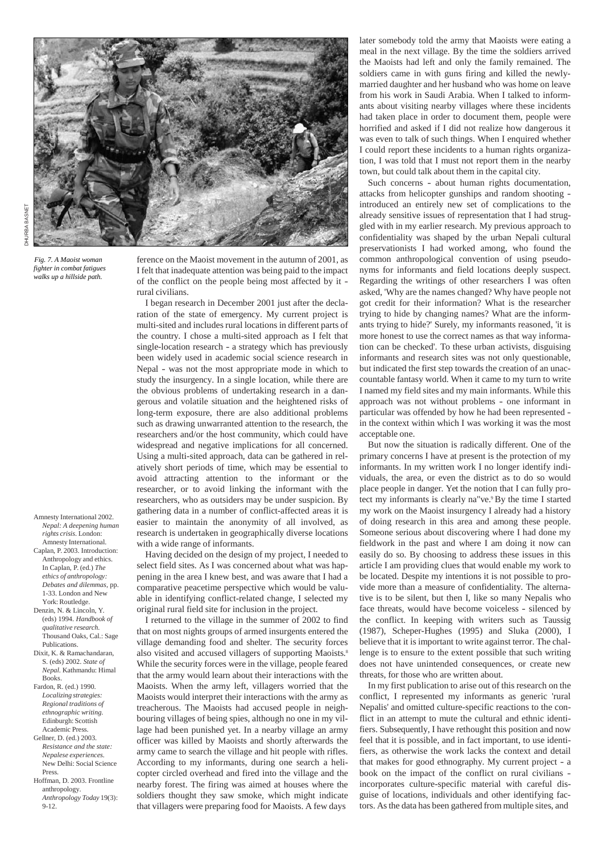

*Fig. 7. A Maoist woman fighter in combat fatigues walks up a hillside path.*

Amnesty International 2002. *Nepal: A deepening human rights crisis*. London: Amnesty International. Caplan, P. 2003. Introduction: Anthropology and ethics.

In Caplan, P. (ed.) *The ethics of anthropology: Debates and dilemmas*, pp. 1-33. London and New York: Routledge.

Denzin, N. & Lincoln, Y. (eds) 1994. *Handbook of qualitative research*. Thousand Oaks, Cal.: Sage Publications.

Dixit, K. & Ramachandaran, S. (eds) 2002. *State of Nepal.* Kathmandu: Himal Books.

Fardon, R. (ed.) 1990. *Localizing strategies: Regional traditions of ethnographic writing*. Edinburgh: Scottish Academic Press.

Gellner, D. (ed.) 2003. *Resistance and the state: Nepalese experiences.* New Delhi: Social Science Press.

Hoffman, D. 2003. Frontline anthropology. *Anthropology Today* 19(3): 9-12.

ference on the Maoist movement in the autumn of 2001, as I felt that inadequate attention was being paid to the impact of the conflict on the people being most affected by it rural civilians.

I began research in December 2001 just after the declaration of the state of emergency. My current project is multi-sited and includes rural locations in different parts of the country. I chose a multi-sited approach as I felt that single-location research - a strategy which has previously been widely used in academic social science research in Nepal - was not the most appropriate mode in which to study the insurgency. In a single location, while there are the obvious problems of undertaking research in a dangerous and volatile situation and the heightened risks of long-term exposure, there are also additional problems such as drawing unwarranted attention to the research, the researchers and/or the host community, which could have widespread and negative implications for all concerned. Using a multi-sited approach, data can be gathered in relatively short periods of time, which may be essential to avoid attracting attention to the informant or the researcher, or to avoid linking the informant with the researchers, who as outsiders may be under suspicion. By gathering data in a number of conflict-affected areas it is easier to maintain the anonymity of all involved, as research is undertaken in geographically diverse locations with a wide range of informants.

Having decided on the design of my project, I needed to select field sites. As I was concerned about what was happening in the area I knew best, and was aware that I had a comparative peacetime perspective which would be valuable in identifying conflict-related change, I selected my original rural field site for inclusion in the project.

I returned to the village in the summer of 2002 to find that on most nights groups of armed insurgents entered the village demanding food and shelter. The security forces also visited and accused villagers of supporting Maoists.<sup>8</sup> While the security forces were in the village, people feared that the army would learn about their interactions with the Maoists. When the army left, villagers worried that the Maoists would interpret their interactions with the army as treacherous. The Maoists had accused people in neighbouring villages of being spies, although no one in my village had been punished yet. In a nearby village an army officer was killed by Maoists and shortly afterwards the army came to search the village and hit people with rifles. According to my informants, during one search a helicopter circled overhead and fired into the village and the nearby forest. The firing was aimed at houses where the soldiers thought they saw smoke, which might indicate that villagers were preparing food for Maoists. A few days

later somebody told the army that Maoists were eating a meal in the next village. By the time the soldiers arrived the Maoists had left and only the family remained. The soldiers came in with guns firing and killed the newlymarried daughter and her husband who was home on leave from his work in Saudi Arabia. When I talked to informants about visiting nearby villages where these incidents had taken place in order to document them, people were horrified and asked if I did not realize how dangerous it was even to talk of such things. When I enquired whether I could report these incidents to a human rights organization, I was told that I must not report them in the nearby town, but could talk about them in the capital city.

Such concerns - about human rights documentation, attacks from helicopter gunships and random shooting introduced an entirely new set of complications to the already sensitive issues of representation that I had struggled with in my earlier research. My previous approach to confidentiality was shaped by the urban Nepali cultural preservationists I had worked among, who found the common anthropological convention of using pseudonyms for informants and field locations deeply suspect. Regarding the writings of other researchers I was often asked, 'Why are the names changed? Why have people not got credit for their information? What is the researcher trying to hide by changing names? What are the informants trying to hide?' Surely, my informants reasoned, 'it is more honest to use the correct names as that way information can be checked'. To these urban activists, disguising informants and research sites was not only questionable, but indicated the first step towards the creation of an unaccountable fantasy world. When it came to my turn to write I named my field sites and my main informants. While this approach was not without problems - one informant in particular was offended by how he had been represented in the context within which I was working it was the most acceptable one.

But now the situation is radically different. One of the primary concerns I have at present is the protection of my informants. In my written work I no longer identify individuals, the area, or even the district as to do so would place people in danger. Yet the notion that I can fully protect my informants is clearly na"ve.<sup>9</sup> By the time I started my work on the Maoist insurgency I already had a history of doing research in this area and among these people. Someone serious about discovering where I had done my fieldwork in the past and where I am doing it now can easily do so. By choosing to address these issues in this article I am providing clues that would enable my work to be located. Despite my intentions it is not possible to provide more than a measure of confidentiality. The alternative is to be silent, but then I, like so many Nepalis who face threats, would have become voiceless - silenced by the conflict. In keeping with writers such as Taussig (1987), Scheper-Hughes (1995) and Sluka (2000), I believe that it is important to write against terror. The challenge is to ensure to the extent possible that such writing does not have unintended consequences, or create new threats, for those who are written about.

In my first publication to arise out of this research on the conflict, I represented my informants as generic 'rural Nepalis' and omitted culture-specific reactions to the conflict in an attempt to mute the cultural and ethnic identifiers. Subsequently, I have rethought this position and now feel that it is possible, and in fact important, to use identifiers, as otherwise the work lacks the context and detail that makes for good ethnography. My current project - a book on the impact of the conflict on rural civilians incorporates culture-specific material with careful disguise of locations, individuals and other identifying factors. Asthe data has been gathered from multiple sites, and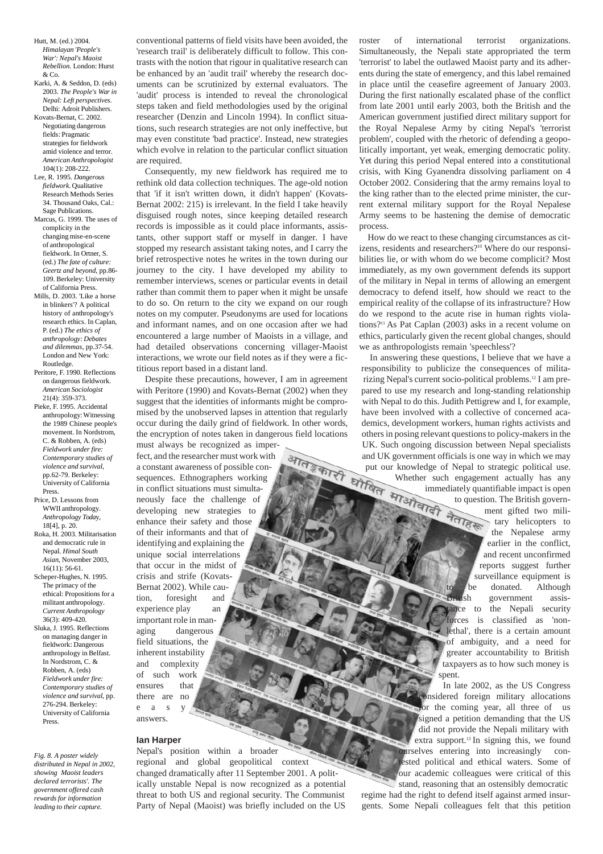Hutt, M. (ed.) 2004. *Himalayan 'People's War': Nepal's Maoist Rebellion.* London: Hurst & Co. Karki, A. & Seddon, D. (eds)

- 2003. *The People's War in Nepal: Left perspectives*. Delhi: Adroit Publishers.
- Kovats-Bernat, C. 2002. Negotiating dangerous fields: Pragmatic strategies for fieldwork amid violence and terror. *American Anthropologist* 104(1): 208-222.
- Lee, R. 1995. *Dangerous fieldwork*. Qualitative Research Methods Series 34. Thousand Oaks, Cal.: Sage Publications.
- Marcus, G. 1999. The uses of complicity in the changing mise-en-scene of anthropological fieldwork. In Ortner, S. (ed.) *The fate of culture: Geertz and beyond*, pp.86- 109. Berkeley: University of California Press.
- Mills, D. 2003. Like a horse in blinkers'? A political history of anthropology's research ethics. In Caplan, P. (ed.) *The ethics of anthropology: Debates and dilemmas*, pp.37-54. London and New York: Routledge.
- Peritore, F. 1990. Reflections on dangerous fieldwork. *American Sociologist* 21(4): 359-373.
- Pieke, F. 1995. Accidental anthropology:Witnessing the 1989 Chinese people's movement. In Nordstrom, C. & Robben, A. (eds) *Fieldwork under fire: Contemporary studies of violence and survival*, pp.62-79. Berkeley: University of California Press.
- Price, D. Lessons from WWII anthropology. *Anthropology Toda*y, 18[4], p. 20.
- Roka, H. 2003. Militarisation and democratic rule in Nepal. *Himal South Asian*, November 2003, 16(11): 56-61.
- Scheper-Hughes, N. 1995. The primacy of the ethical: Propositions for a militant anthropology. *Current Anthropology* 36(3): 409-420.
- Sluka, J. 1995. Reflections on managing danger in fieldwork: Dangerous anthropology in Belfast. In Nordstrom, C. & Robben, A. (eds) *Fieldwork under fire: Contemporary studies of violence and survival*, pp. 276-294. Berkeley: University of California Press.

*Fig. 8. A poster widely distributed in Nepal in 2002, showing Maoist leaders declared terrorists'. The government offered cash rewards for information leading to their capture.*

conventional patterns of field visits have been avoided, the 'research trail' is deliberately difficult to follow. This contrasts with the notion that rigour in qualitative research can be enhanced by an 'audit trail' whereby the research documents can be scrutinized by external evaluators. The 'audit' process is intended to reveal the chronological steps taken and field methodologies used by the original researcher (Denzin and Lincoln 1994). In conflict situations, such research strategies are not only ineffective, but may even constitute 'bad practice'. Instead, new strategies which evolve in relation to the particular conflict situation are required.

Consequently, my new fieldwork has required me to rethink old data collection techniques. The age-old notion that 'if it isn't written down, it didn't happen' (Kovats-Bernat 2002: 215) is irrelevant. In the field I take heavily disguised rough notes, since keeping detailed research records is impossible as it could place informants, assistants, other support staff or myself in danger. I have stopped my research assistant taking notes, and I carry the brief retrospective notes he writes in the town during our journey to the city. I have developed my ability to remember interviews, scenes or particular events in detail rather than commit them to paper when it might be unsafe to do so. On return to the city we expand on our rough notes on my computer. Pseudonyms are used for locations and informant names, and on one occasion after we had encountered a large number of Maoists in a village, and had detailed observations concerning villager-Maoist interactions, we wrote our field notes as if they were a fictitious report based in a distant land.

Despite these precautions, however, I am in agreement with Peritore (1990) and Kovats-Bernat (2002) when they suggest that the identities of informants might be compromised by the unobserved lapses in attention that regularly occur during the daily grind of fieldwork. In other words, the encryption of notes taken in dangerous field locations

रिवाक इतिरा

must always be recognized as imperfect, and the researcher must work with a constant awareness of possible consequences. Ethnographers working in conflict situations must simultaneously face the challenge of developing new strategies to enhance their safety and those of their informants and that of identifying and explaining the unique social interrelations that occur in the midst of crisis and strife (Kovats-Bernat 2002). While caution, foresight and experience play an important role in managing dangerous field situations, the inherent instability and complexity of such work ensures that there are no e a s answers.

### **Ian Harper**

Nepal's position within a broader regional and global geopolitical context changed dramatically after 11 September 2001. A politically unstable Nepal is now recognized as a potential threat to both US and regional security. The Communist Party of Nepal (Maoist) was briefly included on the US roster of international terrorist organizations. Simultaneously, the Nepali state appropriated the term 'terrorist' to label the outlawed Maoist party and its adherents during the state of emergency, and this label remained in place until the ceasefire agreement of January 2003. During the first nationally escalated phase of the conflict from late 2001 until early 2003, both the British and the American government justified direct military support for the Royal Nepalese Army by citing Nepal's 'terrorist problem', coupled with the rhetoric of defending a geopolitically important, yet weak, emerging democratic polity. Yet during this period Nepal entered into a constitutional crisis, with King Gyanendra dissolving parliament on 4 October 2002. Considering that the army remains loyal to the king rather than to the elected prime minister, the current external military support for the Royal Nepalese Army seems to be hastening the demise of democratic process.

How do we react to these changing circumstances as citizens, residents and researchers?<sup>10</sup> Where do our responsibilities lie, or with whom do we become complicit? Most immediately, as my own government defends its support of the military in Nepal in terms of allowing an emergent democracy to defend itself, how should we react to the empirical reality of the collapse of its infrastructure? How do we respond to the acute rise in human rights violations?<sup>11</sup> As Pat Caplan (2003) asks in a recent volume on ethics, particularly given the recent global changes, should we as anthropologists remain 'speechless'?

In answering these questions, I believe that we have a responsibility to publicize the consequences of militarizing Nepal's current socio-political problems.<sup>12</sup> I am prepared to use my research and long-standing relationship with Nepal to do this. Judith Pettigrew and I, for example, have been involved with a collective of concerned academics, development workers, human rights activists and othersin posing relevant questionsto policy-makersin the UK. Such ongoing discussion between Nepal specialists and UK government officials is one way in which we may put our knowledge of Nepal to strategic political use. कामित Whether such engagement actually has any

immediately quantifiable impact is open<br>to question. The British government gifted two milito question. The British govern-

ment gifted two mili-<br>tary helicopters to tary helicopters to the Nepalese army earlier in the conflict, and recent unconfirmed reports suggest further surveillance equipment is be donated. Although sh government assisance to the Nepali security forces is classified as 'nonlethal', there is a certain amount of ambiguity, and a need for greater accountability to British taxpayers as to how such money is spent.

In late 2002, as the US Congress nsidered foreign military allocations or the coming year, all three of us signed a petition demanding that the US did not provide the Nepali military with extra support. $^{13}$  In signing this, we found urselves entering into increasingly conested political and ethical waters. Some of our academic colleagues were critical of this

stand, reasoning that an ostensibly democratic regime had the right to defend itself against armed insurgents. Some Nepali colleagues felt that this petition